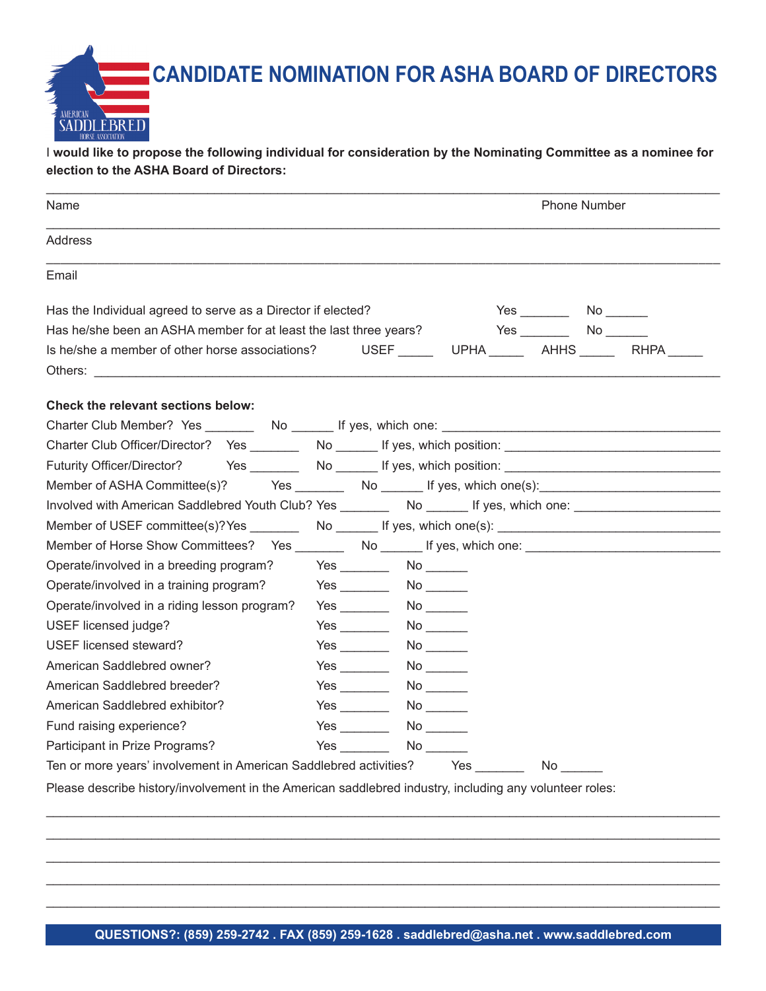**CANDIDATE NOMINATION FOR ASHA BOARD OF DIRECTORS**

I **would like to propose the following individual for consideration by the Nominating Committee as a nominee for election to the ASHA Board of Directors:**

AMERICAN

**SADDLEBRED** 

| Name                                                                                                           |                                                                                                                                                                                                                                     | <b>Phone Number</b>                                                                                             |  |  |
|----------------------------------------------------------------------------------------------------------------|-------------------------------------------------------------------------------------------------------------------------------------------------------------------------------------------------------------------------------------|-----------------------------------------------------------------------------------------------------------------|--|--|
| Address                                                                                                        |                                                                                                                                                                                                                                     |                                                                                                                 |  |  |
| Email                                                                                                          |                                                                                                                                                                                                                                     |                                                                                                                 |  |  |
| Has the Individual agreed to serve as a Director if elected?                                                   |                                                                                                                                                                                                                                     | $Yes$ No $\qquad \qquad$ No $\qquad \qquad$                                                                     |  |  |
| Has he/she been an ASHA member for at least the last three years?                                              |                                                                                                                                                                                                                                     | $Yes$ No $\_\_\_\_\_\$                                                                                          |  |  |
| Is he/she a member of other horse associations?                                                                |                                                                                                                                                                                                                                     | USEF UPHA AHHS RHPA                                                                                             |  |  |
|                                                                                                                |                                                                                                                                                                                                                                     |                                                                                                                 |  |  |
| <b>Check the relevant sections below:</b>                                                                      |                                                                                                                                                                                                                                     |                                                                                                                 |  |  |
|                                                                                                                |                                                                                                                                                                                                                                     |                                                                                                                 |  |  |
| Charter Club Officer/Director? Yes _________ No _______ If yes, which position: ______________________________ |                                                                                                                                                                                                                                     |                                                                                                                 |  |  |
| Futurity Officer/Director? Yes _________ No _______ If yes, which position: __________________________________ |                                                                                                                                                                                                                                     |                                                                                                                 |  |  |
| Member of ASHA Committee(s)?                                                                                   |                                                                                                                                                                                                                                     |                                                                                                                 |  |  |
| Involved with American Saddlebred Youth Club? Yes ________ No ______ If yes, which one: _____________________  |                                                                                                                                                                                                                                     |                                                                                                                 |  |  |
| Member of USEF committee(s)?Yes ___________ No ________ If yes, which one(s): ______________________           |                                                                                                                                                                                                                                     |                                                                                                                 |  |  |
| Member of Horse Show Committees? Yes ________ No _______ If yes, which one: ________________________           |                                                                                                                                                                                                                                     |                                                                                                                 |  |  |
| Operate/involved in a breeding program?                                                                        |                                                                                                                                                                                                                                     |                                                                                                                 |  |  |
| Operate/involved in a training program?                                                                        |                                                                                                                                                                                                                                     |                                                                                                                 |  |  |
| Operate/involved in a riding lesson program?                                                                   |                                                                                                                                                                                                                                     |                                                                                                                 |  |  |
| USEF licensed judge?                                                                                           |                                                                                                                                                                                                                                     |                                                                                                                 |  |  |
| USEF licensed steward?                                                                                         |                                                                                                                                                                                                                                     |                                                                                                                 |  |  |
| American Saddlebred owner?                                                                                     |                                                                                                                                                                                                                                     |                                                                                                                 |  |  |
| American Saddlebred breeder?                                                                                   |                                                                                                                                                                                                                                     |                                                                                                                 |  |  |
| American Saddlebred exhibitor?                                                                                 |                                                                                                                                                                                                                                     |                                                                                                                 |  |  |
| Fund raising experience?                                                                                       |                                                                                                                                                                                                                                     | No control of the set of the set of the set of the set of the set of the set of the set of the set of the set o |  |  |
| Participant in Prize Programs?                                                                                 | <b>Yes</b> and the set of the set of the set of the set of the set of the set of the set of the set of the set of the set of the set of the set of the set of the set of the set of the set of the set of the set of the set of the |                                                                                                                 |  |  |
| Ten or more years' involvement in American Saddlebred activities?                                              |                                                                                                                                                                                                                                     | Yes                                                                                                             |  |  |
| Please describe history/involvement in the American saddlebred industry, including any volunteer roles:        |                                                                                                                                                                                                                                     |                                                                                                                 |  |  |

\_\_\_\_\_\_\_\_\_\_\_\_\_\_\_\_\_\_\_\_\_\_\_\_\_\_\_\_\_\_\_\_\_\_\_\_\_\_\_\_\_\_\_\_\_\_\_\_\_\_\_\_\_\_\_\_\_\_\_\_\_\_\_\_\_\_\_\_\_\_\_\_\_\_\_\_\_\_\_\_\_\_\_\_\_\_\_\_\_\_\_\_\_\_\_\_ \_\_\_\_\_\_\_\_\_\_\_\_\_\_\_\_\_\_\_\_\_\_\_\_\_\_\_\_\_\_\_\_\_\_\_\_\_\_\_\_\_\_\_\_\_\_\_\_\_\_\_\_\_\_\_\_\_\_\_\_\_\_\_\_\_\_\_\_\_\_\_\_\_\_\_\_\_\_\_\_\_\_\_\_\_\_\_\_\_\_\_\_\_\_\_\_ \_\_\_\_\_\_\_\_\_\_\_\_\_\_\_\_\_\_\_\_\_\_\_\_\_\_\_\_\_\_\_\_\_\_\_\_\_\_\_\_\_\_\_\_\_\_\_\_\_\_\_\_\_\_\_\_\_\_\_\_\_\_\_\_\_\_\_\_\_\_\_\_\_\_\_\_\_\_\_\_\_\_\_\_\_\_\_\_\_\_\_\_\_\_\_\_ \_\_\_\_\_\_\_\_\_\_\_\_\_\_\_\_\_\_\_\_\_\_\_\_\_\_\_\_\_\_\_\_\_\_\_\_\_\_\_\_\_\_\_\_\_\_\_\_\_\_\_\_\_\_\_\_\_\_\_\_\_\_\_\_\_\_\_\_\_\_\_\_\_\_\_\_\_\_\_\_\_\_\_\_\_\_\_\_\_\_\_\_\_\_\_\_ \_\_\_\_\_\_\_\_\_\_\_\_\_\_\_\_\_\_\_\_\_\_\_\_\_\_\_\_\_\_\_\_\_\_\_\_\_\_\_\_\_\_\_\_\_\_\_\_\_\_\_\_\_\_\_\_\_\_\_\_\_\_\_\_\_\_\_\_\_\_\_\_\_\_\_\_\_\_\_\_\_\_\_\_\_\_\_\_\_\_\_\_\_\_\_\_